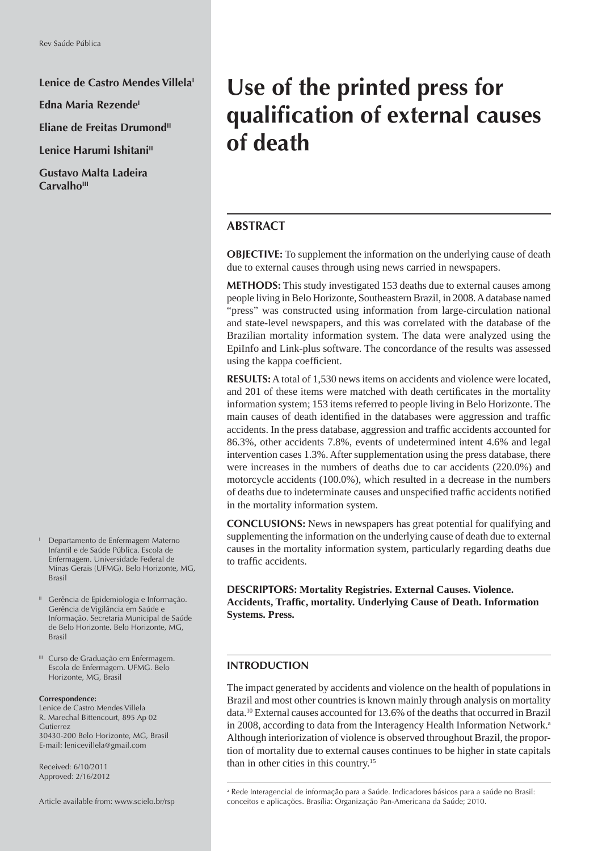Lenice de Castro Mendes Villela<sup>1</sup>

**Edna Maria Rezende<sup>1</sup>** 

**Eliane de Freitas Drumond**<sup>II</sup>

Lenice Harumi Ishitani<sup>II</sup>

**Gustavo Malta Ladeira**  Carvalho<sup>III</sup>

- I Departamento de Enfermagem Materno Infantil e de Saúde Pública. Escola de Enfermagem. Universidade Federal de Minas Gerais (UFMG). Belo Horizonte, MG, Brasil
- <sup>11</sup> Gerência de Epidemiologia e Informação. Gerência de Vigilância em Saúde e Informação. Secretaria Municipal de Saúde de Belo Horizonte. Belo Horizonte, MG, Brasil
- Curso de Graduação em Enfermagem. Escola de Enfermagem. UFMG. Belo Horizonte, MG, Brasil

#### **Correspondence:**

Lenice de Castro Mendes Villela R. Marechal Bittencourt, 895 Ap 02 Gutierrez 30430-200 Belo Horizonte, MG, Brasil E-mail: lenicevillela@gmail.com

Received: 6/10/2011 Approved: 2/16/2012

Article available from: www.scielo.br/rsp

# **Use of the printed press for qualifi cation of external causes of death**

## **ABSTRACT**

**OBJECTIVE:** To supplement the information on the underlying cause of death due to external causes through using news carried in newspapers.

**METHODS:** This study investigated 153 deaths due to external causes among people living in Belo Horizonte, Southeastern Brazil, in 2008. A database named "press" was constructed using information from large-circulation national and state-level newspapers, and this was correlated with the database of the Brazilian mortality information system. The data were analyzed using the EpiInfo and Link-plus software. The concordance of the results was assessed using the kappa coefficient.

**RESULTS:** A total of 1,530 news items on accidents and violence were located, and 201 of these items were matched with death certificates in the mortality information system; 153 items referred to people living in Belo Horizonte. The main causes of death identified in the databases were aggression and traffic accidents. In the press database, aggression and traffic accidents accounted for 86.3%, other accidents 7.8%, events of undetermined intent 4.6% and legal intervention cases 1.3%. After supplementation using the press database, there were increases in the numbers of deaths due to car accidents (220.0%) and motorcycle accidents (100.0%), which resulted in a decrease in the numbers of deaths due to indeterminate causes and unspecified traffic accidents notified in the mortality information system.

**CONCLUSIONS:** News in newspapers has great potential for qualifying and supplementing the information on the underlying cause of death due to external causes in the mortality information system, particularly regarding deaths due to traffic accidents.

**DESCRIPTORS: Mortality Registries. External Causes. Violence. Accidents, Traffi c, mortality. Underlying Cause of Death. Information Systems. Press.**

## **INTRODUCTION**

The impact generated by accidents and violence on the health of populations in Brazil and most other countries is known mainly through analysis on mortality data.10 External causes accounted for 13.6% of the deaths that occurred in Brazil in 2008, according to data from the Interagency Health Information Network.<sup>a</sup> Although interiorization of violence is observed throughout Brazil, the proportion of mortality due to external causes continues to be higher in state capitals than in other cities in this country.15

a Rede Interagencial de informação para a Saúde. Indicadores básicos para a saúde no Brasil: conceitos e aplicações. Brasília: Organização Pan-Americana da Saúde; 2010.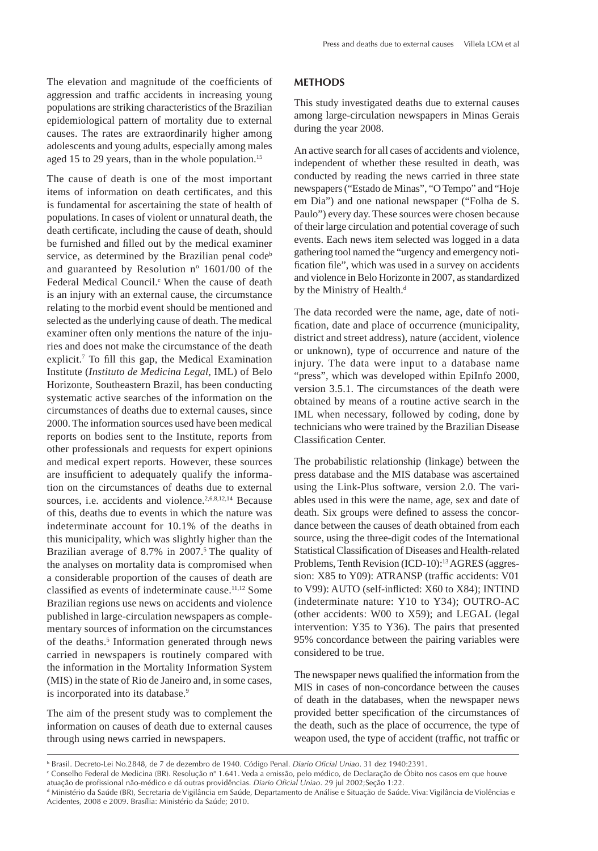The elevation and magnitude of the coefficients of aggression and traffic accidents in increasing young populations are striking characteristics of the Brazilian epidemiological pattern of mortality due to external causes. The rates are extraordinarily higher among adolescents and young adults, especially among males aged 15 to 29 years, than in the whole population.<sup>15</sup>

The cause of death is one of the most important items of information on death certificates, and this is fundamental for ascertaining the state of health of populations. In cases of violent or unnatural death, the death certificate, including the cause of death, should be furnished and filled out by the medical examiner service, as determined by the Brazilian penal code<sup>b</sup> and guaranteed by Resolution nº 1601/00 of the Federal Medical Council.<sup>c</sup> When the cause of death is an injury with an external cause, the circumstance relating to the morbid event should be mentioned and selected as the underlying cause of death. The medical examiner often only mentions the nature of the injuries and does not make the circumstance of the death explicit.<sup>7</sup> To fill this gap, the Medical Examination Institute (*Instituto de Medicina Legal,* IML) of Belo Horizonte, Southeastern Brazil, has been conducting systematic active searches of the information on the circumstances of deaths due to external causes, since 2000. The information sources used have been medical reports on bodies sent to the Institute, reports from other professionals and requests for expert opinions and medical expert reports. However, these sources are insufficient to adequately qualify the information on the circumstances of deaths due to external sources, i.e. accidents and violence.<sup>2,6,8,12,14</sup> Because of this, deaths due to events in which the nature was indeterminate account for 10.1% of the deaths in this municipality, which was slightly higher than the Brazilian average of  $8.7\%$  in  $2007$ .<sup>5</sup> The quality of the analyses on mortality data is compromised when a considerable proportion of the causes of death are classified as events of indeterminate cause. $11,12$  Some Brazilian regions use news on accidents and violence published in large-circulation newspapers as complementary sources of information on the circumstances of the deaths.<sup>5</sup> Information generated through news carried in newspapers is routinely compared with the information in the Mortality Information System (MIS) in the state of Rio de Janeiro and, in some cases, is incorporated into its database.<sup>9</sup>

The aim of the present study was to complement the information on causes of death due to external causes through using news carried in newspapers.

### **METHODS**

This study investigated deaths due to external causes among large-circulation newspapers in Minas Gerais during the year 2008.

An active search for all cases of accidents and violence, independent of whether these resulted in death, was conducted by reading the news carried in three state newspapers ("Estado de Minas", "O Tempo" and "Hoje em Dia") and one national newspaper ("Folha de S. Paulo") every day. These sources were chosen because of their large circulation and potential coverage of such events. Each news item selected was logged in a data gathering tool named the "urgency and emergency notification file", which was used in a survey on accidents and violence in Belo Horizonte in 2007, as standardized by the Ministry of Health.<sup>d</sup>

The data recorded were the name, age, date of notification, date and place of occurrence (municipality, district and street address), nature (accident, violence or unknown), type of occurrence and nature of the injury. The data were input to a database name "press", which was developed within EpiInfo 2000, version 3.5.1. The circumstances of the death were obtained by means of a routine active search in the IML when necessary, followed by coding, done by technicians who were trained by the Brazilian Disease Classification Center.

The probabilistic relationship (linkage) between the press database and the MIS database was ascertained using the Link-Plus software, version 2.0. The variables used in this were the name, age, sex and date of death. Six groups were defined to assess the concordance between the causes of death obtained from each source, using the three-digit codes of the International Statistical Classification of Diseases and Health-related Problems, Tenth Revision (ICD-10):<sup>13</sup> AGRES (aggression: X85 to Y09): ATRANSP (traffic accidents: V01 to V99): AUTO (self-inflicted: X60 to X84); INTIND (indeterminate nature: Y10 to Y34); OUTRO-AC (other accidents: W00 to X59); and LEGAL (legal intervention: Y35 to Y36). The pairs that presented 95% concordance between the pairing variables were considered to be true.

The newspaper news qualified the information from the MIS in cases of non-concordance between the causes of death in the databases, when the newspaper news provided better specification of the circumstances of the death, such as the place of occurrence, the type of weapon used, the type of accident (traffic, not traffic or

b Brasil. Decreto-Lei No.2848, de 7 de dezembro de 1940. Código Penal. *Diario Ofi cial Uniao*. 31 dez 1940:2391.

c Conselho Federal de Medicina (BR). Resolução nº 1.641. Veda a emissão, pelo médico, de Declaração de Óbito nos casos em que houve atuação de profissional não-médico e dá outras providências. *Diario Oficial Uniao*. 29 jul 2002;Seção 1:22.

<sup>&</sup>lt;sup>d</sup> Ministério da Saúde (BR), Secretaria de Vigilância em Saúde, Departamento de Análise e Situação de Saúde. Viva: Vigilância de Violências e Acidentes, 2008 e 2009. Brasília: Ministério da Saúde; 2010.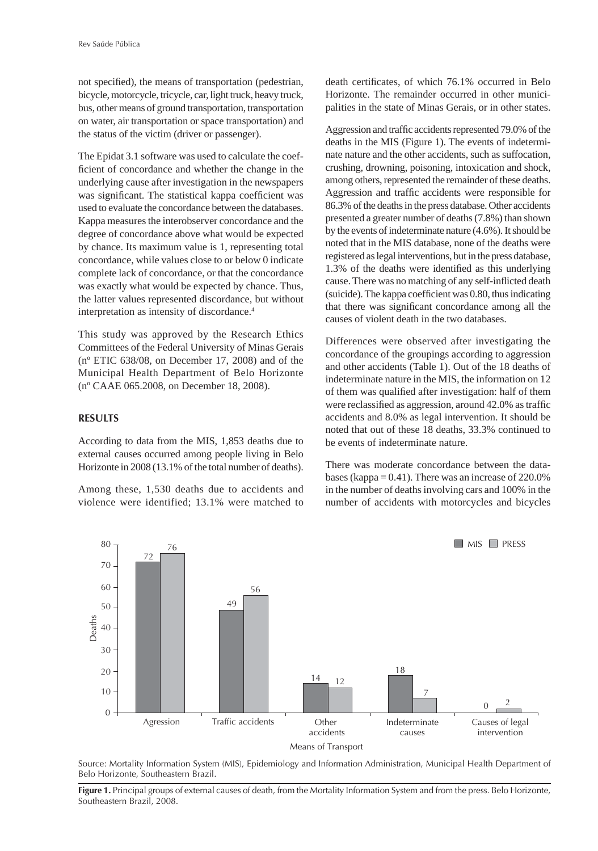not specified), the means of transportation (pedestrian, bicycle, motorcycle, tricycle, car, light truck, heavy truck, bus, other means of ground transportation, transportation on water, air transportation or space transportation) and the status of the victim (driver or passenger).

The Epidat 3.1 software was used to calculate the coefficient of concordance and whether the change in the underlying cause after investigation in the newspapers was significant. The statistical kappa coefficient was used to evaluate the concordance between the databases. Kappa measures the interobserver concordance and the degree of concordance above what would be expected by chance. Its maximum value is 1, representing total concordance, while values close to or below 0 indicate complete lack of concordance, or that the concordance was exactly what would be expected by chance. Thus, the latter values represented discordance, but without interpretation as intensity of discordance.4

This study was approved by the Research Ethics Committees of the Federal University of Minas Gerais (nº ETIC 638/08, on December 17, 2008) and of the Municipal Health Department of Belo Horizonte (nº CAAE 065.2008, on December 18, 2008).

## **RESULTS**

According to data from the MIS, 1,853 deaths due to external causes occurred among people living in Belo Horizonte in 2008 (13.1% of the total number of deaths).

Among these, 1,530 deaths due to accidents and violence were identified; 13.1% were matched to

death certificates, of which 76.1% occurred in Belo Horizonte. The remainder occurred in other municipalities in the state of Minas Gerais, or in other states.

Aggression and traffic accidents represented 79.0% of the deaths in the MIS (Figure 1). The events of indeterminate nature and the other accidents, such as suffocation, crushing, drowning, poisoning, intoxication and shock, among others, represented the remainder of these deaths. Aggression and traffic accidents were responsible for 86.3% of the deaths in the press database. Other accidents presented a greater number of deaths (7.8%) than shown by the events of indeterminate nature (4.6%). It should be noted that in the MIS database, none of the deaths were registered as legal interventions, but in the press database,  $1.3\%$  of the deaths were identified as this underlying cause. There was no matching of any self-inflicted death  $(suicide)$ . The kappa coefficient was  $0.80$ , thus indicating that there was significant concordance among all the causes of violent death in the two databases.

Differences were observed after investigating the concordance of the groupings according to aggression and other accidents (Table 1). Out of the 18 deaths of indeterminate nature in the MIS, the information on 12 of them was qualified after investigation: half of them were reclassified as aggression, around 42.0% as traffic accidents and 8.0% as legal intervention. It should be noted that out of these 18 deaths, 33.3% continued to be events of indeterminate nature.

There was moderate concordance between the databases (kappa =  $0.41$ ). There was an increase of  $220.0\%$ in the number of deaths involving cars and 100% in the number of accidents with motorcycles and bicycles



Source: Mortality Information System (MIS), Epidemiology and Information Administration, Municipal Health Department of Belo Horizonte, Southeastern Brazil.

Figure 1. Principal groups of external causes of death, from the Mortality Information System and from the press. Belo Horizonte, Southeastern Brazil, 2008.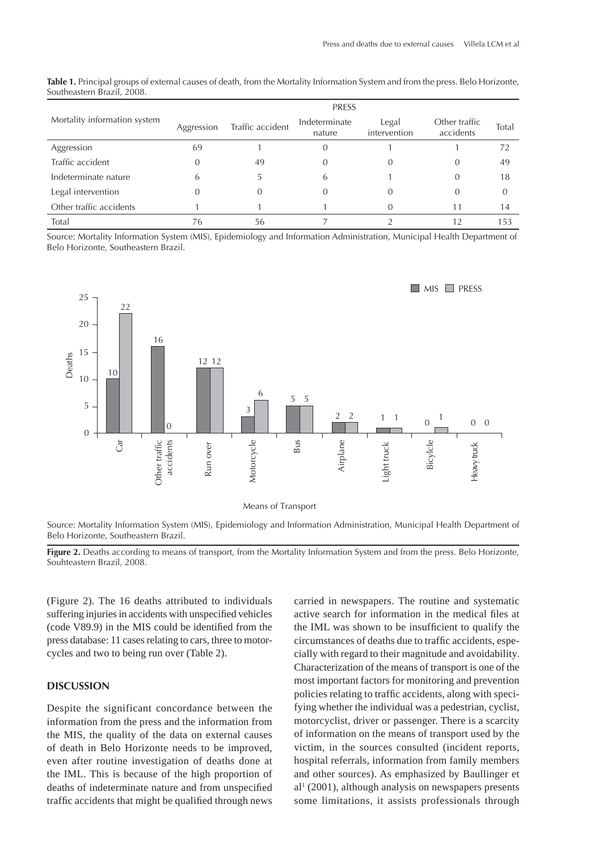| JUULIEASIEHT DIAZII, 2000.   |              |                  |                         |                       |                            |       |  |  |  |  |  |
|------------------------------|--------------|------------------|-------------------------|-----------------------|----------------------------|-------|--|--|--|--|--|
| Mortality information system | <b>PRESS</b> |                  |                         |                       |                            |       |  |  |  |  |  |
|                              | Aggression   | Traffic accident | Indeterminate<br>nature | Legal<br>intervention | Other traffic<br>accidents | Total |  |  |  |  |  |
| Aggression                   | 69           |                  | 0                       |                       |                            | 72    |  |  |  |  |  |
| Traffic accident             |              | 49               | 0                       |                       |                            | 49    |  |  |  |  |  |
| Indeterminate nature         | <sub>b</sub> |                  | b                       |                       |                            | 18    |  |  |  |  |  |
| Legal intervention           |              |                  | $\left( \right)$        | O                     |                            | 0     |  |  |  |  |  |
| Other traffic accidents      |              |                  |                         |                       | 1                          | 14    |  |  |  |  |  |
| Total                        | 76           | 56               |                         |                       |                            | 153   |  |  |  |  |  |

**Table 1.** Principal groups of external causes of death, from the Mortality Information System and from the press. Belo Horizonte, Southeastern Brazil, 2008.

Source: Mortality Information System (MIS), Epidemiology and Information Administration, Municipal Health Department of Belo Horizonte, Southeastern Brazil.



Source: Mortality Information System (MIS), Epidemiology and Information Administration, Municipal Health Department of Belo Horizonte, Southeastern Brazil.

Figure 2. Deaths according to means of transport, from the Mortality Information System and from the press. Belo Horizonte, Souhteastern Brazil, 2008.

(Figure 2). The 16 deaths attributed to individuals suffering injuries in accidents with unspecified vehicles (code V89.9) in the MIS could be identified from the press database: 11 cases relating to cars, three to motorcycles and two to being run over (Table 2).

#### **DISCUSSION**

Despite the significant concordance between the information from the press and the information from the MIS, the quality of the data on external causes of death in Belo Horizonte needs to be improved, even after routine investigation of deaths done at the IML. This is because of the high proportion of deaths of indeterminate nature and from unspecified traffic accidents that might be qualified through news carried in newspapers. The routine and systematic active search for information in the medical files at the IML was shown to be insufficient to qualify the circumstances of deaths due to traffic accidents, especially with regard to their magnitude and avoidability. Characterization of the means of transport is one of the most important factors for monitoring and prevention policies relating to traffic accidents, along with specifying whether the individual was a pedestrian, cyclist, motorcyclist, driver or passenger. There is a scarcity of information on the means of transport used by the victim, in the sources consulted (incident reports, hospital referrals, information from family members and other sources). As emphasized by Baullinger et al<sup>1</sup> (2001), although analysis on newspapers presents some limitations, it assists professionals through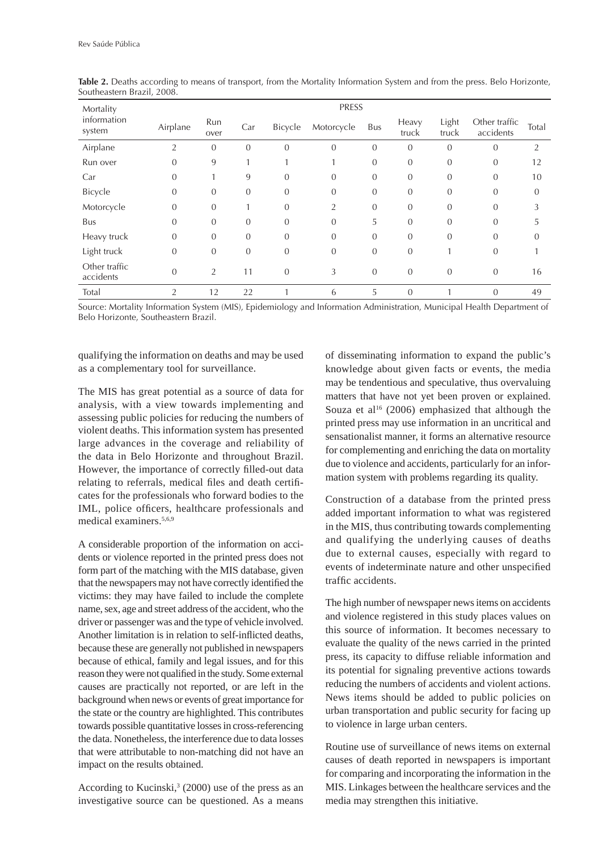| Mortality                  | <b>PRESS</b>   |                |                |                |                |                |                |                |                            |                |
|----------------------------|----------------|----------------|----------------|----------------|----------------|----------------|----------------|----------------|----------------------------|----------------|
| information<br>system      | Airplane       | Run<br>over    | Car            | Bicycle        | Motorcycle     | Bus            | Heavy<br>truck | Light<br>truck | Other traffic<br>accidents | Total          |
| Airplane                   | $\overline{2}$ | $\theta$       | $\overline{0}$ | $\theta$       | $\overline{0}$ | $\theta$       | $\overline{0}$ | $\overline{0}$ | $\overline{0}$             | $\overline{2}$ |
| Run over                   | 0              | 9              |                |                | 1              | $\theta$       | $\mathbf{0}$   | $\overline{0}$ | $\mathbf{0}$               | 12             |
| Car                        | $\Omega$       |                | 9              | $\Omega$       | $\mathbf{0}$   | $\Omega$       | $\theta$       | $\overline{0}$ | $\mathbf{0}$               | 10             |
| Bicycle                    | $\Omega$       | $\Omega$       | $\Omega$       | $\Omega$       | $\mathbf{0}$   | $\Omega$       | $\theta$       | $\Omega$       | $\overline{0}$             | $\overline{0}$ |
| Motorcycle                 | $\Omega$       | $\Omega$       | 1              | $\Omega$       | $\overline{2}$ | $\Omega$       | $\overline{0}$ | $\Omega$       | $\overline{0}$             | 3              |
| Bus                        | $\overline{0}$ | $\theta$       | $\overline{0}$ | $\theta$       | $\theta$       | 5              | $\theta$       | $\overline{0}$ | $\theta$                   | 5              |
| Heavy truck                | 0              | $\theta$       | $\theta$       | $\theta$       | $\overline{0}$ | $\overline{0}$ | $\theta$       | $\overline{0}$ | $\overline{0}$             | 0              |
| Light truck                | $\overline{0}$ | $\theta$       | $\theta$       | $\overline{0}$ | $\overline{0}$ | $\overline{0}$ | $\theta$       |                | $\mathbf{0}$               |                |
| Other traffic<br>accidents | $\Omega$       | $\overline{2}$ | 11             | $\theta$       | 3              | $\theta$       | $\overline{0}$ | $\overline{0}$ | $\theta$                   | 16             |
| Total                      | $\overline{2}$ | 12             | 22             |                | 6              | 5              | $\overline{0}$ |                | $\overline{0}$             | 49             |

**Table 2.** Deaths according to means of transport, from the Mortality Information System and from the press. Belo Horizonte, Southeastern Brazil, 2008.

Source: Mortality Information System (MIS), Epidemiology and Information Administration, Municipal Health Department of Belo Horizonte, Southeastern Brazil.

qualifying the information on deaths and may be used as a complementary tool for surveillance.

The MIS has great potential as a source of data for analysis, with a view towards implementing and assessing public policies for reducing the numbers of violent deaths. This information system has presented large advances in the coverage and reliability of the data in Belo Horizonte and throughout Brazil. However, the importance of correctly filled-out data relating to referrals, medical files and death certificates for the professionals who forward bodies to the IML, police officers, healthcare professionals and medical examiners.5,6,9

A considerable proportion of the information on accidents or violence reported in the printed press does not form part of the matching with the MIS database, given that the newspapers may not have correctly identified the victims: they may have failed to include the complete name, sex, age and street address of the accident, who the driver or passenger was and the type of vehicle involved. Another limitation is in relation to self-inflicted deaths, because these are generally not published in newspapers because of ethical, family and legal issues, and for this reason they were not qualified in the study. Some external causes are practically not reported, or are left in the background when news or events of great importance for the state or the country are highlighted. This contributes towards possible quantitative losses in cross-referencing the data. Nonetheless, the interference due to data losses that were attributable to non-matching did not have an impact on the results obtained.

According to Kucinski,<sup>3</sup> (2000) use of the press as an investigative source can be questioned. As a means

of disseminating information to expand the public's knowledge about given facts or events, the media may be tendentious and speculative, thus overvaluing matters that have not yet been proven or explained. Souza et al<sup>16</sup> (2006) emphasized that although the printed press may use information in an uncritical and sensationalist manner, it forms an alternative resource for complementing and enriching the data on mortality due to violence and accidents, particularly for an information system with problems regarding its quality.

Construction of a database from the printed press added important information to what was registered in the MIS, thus contributing towards complementing and qualifying the underlying causes of deaths due to external causes, especially with regard to events of indeterminate nature and other unspecified traffic accidents.

The high number of newspaper news items on accidents and violence registered in this study places values on this source of information. It becomes necessary to evaluate the quality of the news carried in the printed press, its capacity to diffuse reliable information and its potential for signaling preventive actions towards reducing the numbers of accidents and violent actions. News items should be added to public policies on urban transportation and public security for facing up to violence in large urban centers.

Routine use of surveillance of news items on external causes of death reported in newspapers is important for comparing and incorporating the information in the MIS. Linkages between the healthcare services and the media may strengthen this initiative.